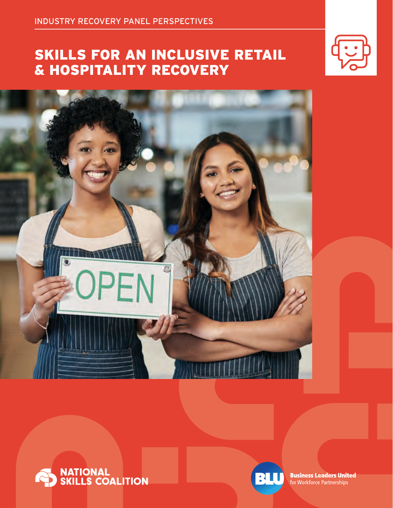# SKILLS FOR AN INCLUSIVE RETAIL & HOSPITALITY RECOVERY









**Business Leaders United** for Workforce Partnerships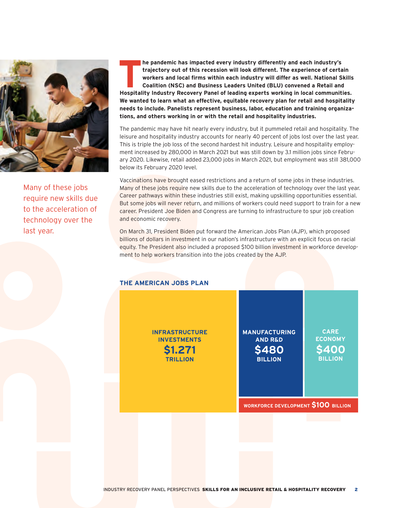

Many of these jobs require new skills due to the acceleration of technology over the last year.

**The pandemic has impacted every industry differently and each industry's<br>
trajectory out of this recession will look different. The experience of certa<br>
workers and local firms within each industry will differ as well. Na trajectory out of this recession will look different. The experience of certain workers and local firms within each industry will differ as well. National Skills Coalition (NSC) and Business Leaders United (BLU) convened a Retail and Hospitality Industry Recovery Panel of leading experts working in local communities. We wanted to learn what an effective, equitable recovery plan for retail and hospitality needs to include. Panelists represent business, labor, education and training organizations, and others working in or with the retail and hospitality industries.**

The pandemic may have hit nearly every industry, but it pummeled retail and hospitality. The leisure and hospitality industry accounts for nearly 40 percent of jobs lost over the last year. This is triple the job loss of the second hardest hit industry. Leisure and hospitality employment increased by 280,000 in March 2021 but was still down by 3.1 million jobs since February 2020. Likewise, retail added 23,000 jobs in March 2021, but employment was still 381,000 below its February 2020 level.

Vaccinations have brought eased restrictions and a return of some jobs in these industries. Many of these jobs require new skills due to the acceleration of technology over the last year. Career pathways within these industries still exist, making upskilling opportunities essential. But some jobs will never return, and millions of workers could need support to train for a new career. President Joe Biden and Congress are turning to infrastructure to spur job creation and economic recovery.

On March 31, President Biden put forward the American Jobs Plan (AJP), which proposed billions of dollars in investment in our nation's infrastructure with an explicit focus on racial equity. The President also included a proposed \$100 billion investment in workforce development to help workers transition into the jobs created by the AJP.

# **THE AMERICAN JOBS PLAN**

**INFRASTRUCTURE INVESTMENTS \$1.271 TRILLION**

**MANUFACTURING AND R&D \$480 BILLION**

**CARE ECONOMY \$400 BILLION**

**WORKFORCE DEVELOPMENT \$100 BILLION WORKFORCE DEVELOPMENT \$100 BILLION**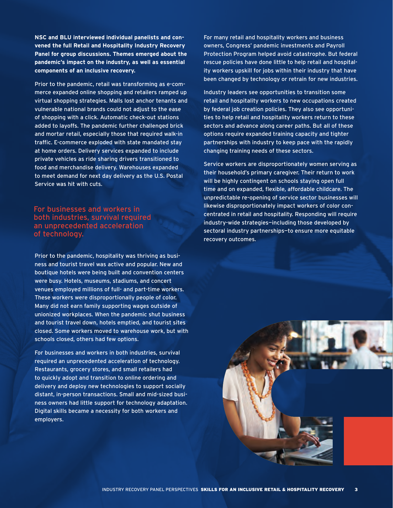**NSC and BLU interviewed individual panelists and convened the full Retail and Hospitality Industry Recovery Panel for group discussions. Themes emerged about the pandemic's impact on the industry, as well as essential components of an inclusive recovery.**

Prior to the pandemic, retail was transforming as e-commerce expanded online shopping and retailers ramped up virtual shopping strategies. Malls lost anchor tenants and vulnerable national brands could not adjust to the ease of shopping with a click. Automatic check-out stations added to layoffs. The pandemic further challenged brick and mortar retail, especially those that required walk-in traffic. E-commerce exploded with state mandated stay at home orders. Delivery services expanded to include private vehicles as ride sharing drivers transitioned to food and merchandise delivery. Warehouses expanded to meet demand for next day delivery as the U.S. Postal Service was hit with cuts.

# For businesses and workers in both industries, survival required an unprecedented acceleration of technology.

Prior to the pandemic, hospitality was thriving as business and tourist travel was active and popular. New and boutique hotels were being built and convention centers were busy. Hotels, museums, stadiums, and concert venues employed millions of full- and part-time workers. These workers were disproportionally people of color. Many did not earn family supporting wages outside of unionized workplaces. When the pandemic shut business and tourist travel down, hotels emptied, and tourist sites closed. Some workers moved to warehouse work, but with schools closed, others had few options.

For businesses and workers in both industries, survival required an unprecedented acceleration of technology. Restaurants, grocery stores, and small retailers had to quickly adopt and transition to online ordering and delivery and deploy new technologies to support socially distant, in-person transactions. Small and mid-sized business owners had little support for technology adaptation. Digital skills became a necessity for both workers and employers.

For many retail and hospitality workers and business owners, Congress' pandemic investments and Payroll Protection Program helped avoid catastrophe. But federal rescue policies have done little to help retail and hospitality workers upskill for jobs within their industry that have been changed by technology or retrain for new industries.

Industry leaders see opportunities to transition some retail and hospitality workers to new occupations created by federal job creation policies. They also see opportunities to help retail and hospitality workers return to these sectors and advance along career paths. But all of these options require expanded training capacity and tighter partnerships with industry to keep pace with the rapidly changing training needs of these sectors.

Service workers are disproportionately women serving as their household's primary caregiver. Their return to work will be highly contingent on schools staying open full time and on expanded, flexible, affordable childcare. The unpredictable re-opening of service sector businesses will likewise disproportionately impact workers of color concentrated in retail and hospitality. Responding will require industry-wide strategies—including those developed by sectoral industry partnerships—to ensure more equitable recovery outcomes.

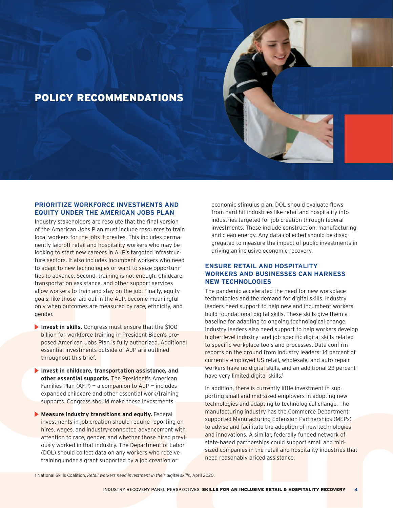# POLICY RECOMMENDATIONS

# **PRIORITIZE WORKFORCE INVESTMENTS AND EQUITY UNDER THE AMERICAN JOBS PLAN**

Industry stakeholders are resolute that the final version of the American Jobs Plan must include resources to train local workers for the jobs it creates. This includes permanently laid-off retail and hospitality workers who may be looking to start new careers in AJP's targeted infrastructure sectors. It also includes incumbent workers who need to adapt to new technologies or want to seize opportunities to advance. Second, training is not enough. Childcare, transportation assistance, and other support services allow workers to train and stay on the job. Finally, equity goals, like those laid out in the AJP, become meaningful only when outcomes are measured by race, ethnicity, and gender.

- **Invest in skills.** Congress must ensure that the \$100 billion for workforce training in President Biden's proposed American Jobs Plan is fully authorized. Additional essential investments outside of AJP are outlined throughout this brief.
- **Invest in childcare, transportation assistance, and**  other essential supports. The President's American Families Plan  $(AFP)$  – a companion to  $AJP$  – includes expanded childcare and other essential work/training supports. Congress should make these investments.
- **Measure industry transitions and equity.** Federal investments in job creation should require reporting on hires, wages, and industry-connected advancement with attention to race, gender, and whether those hired previously worked in that industry. The Department of Labor (DOL) should collect data on any workers who receive training under a grant supported by a job creation or

economic stimulus plan. DOL should evaluate flows from hard hit industries like retail and hospitality into industries targeted for job creation through federal investments. These include construction, manufacturing, and clean energy. Any data collected should be disaggregated to measure the impact of public investments in driving an inclusive economic recovery.

# **ENSURE RETAIL AND HOSPITALITY WORKERS AND BUSINESSES CAN HARNESS NEW TECHNOLOGIES**

The pandemic accelerated the need for new workplace technologies and the demand for digital skills. Industry leaders need support to help new and incumbent workers build foundational digital skills. These skills give them a baseline for adapting to ongoing technological change. Industry leaders also need support to help workers develop higher-level industry- and job-specific digital skills related to specific workplace tools and processes. Data confirm reports on the ground from industry leaders: 14 percent of currently employed US retail, wholesale, and auto repair workers have no digital skills, and an additional 23 percent have very limited digital skills.<sup>1</sup>

In addition, there is currently little investment in supporting small and mid-sized employers in adopting new technologies and adapting to technological change. The manufacturing industry has the Commerce Department supported Manufacturing Extension Partnerships (MEPs) to advise and facilitate the adoption of new technologies and innovations. A similar, federally funded network of state-based partnerships could support small and midsized companies in the retail and hospitality industries that need reasonably priced assistance.

1 National Skills Coalition, *Retail workers need investment in their digital skills*, April 2020.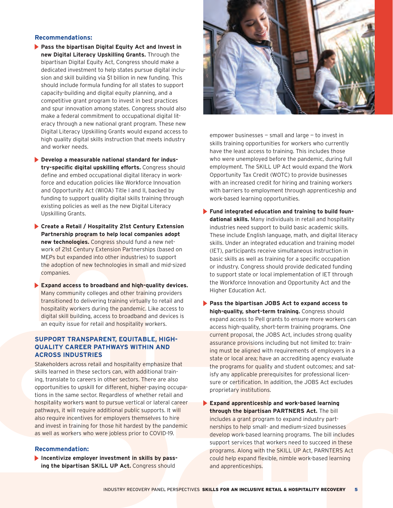#### **Recommendations:**

- **Pass the bipartisan Digital Equity Act and Invest in new Digital Literacy Upskilling Grants.** Through the bipartisan Digital Equity Act, Congress should make a dedicated investment to help states pursue digital inclusion and skill building via \$1 billion in new funding. This should include formula funding for all states to support capacity-building and digital equity planning, and a competitive grant program to invest in best practices and spur innovation among states. Congress should also make a federal commitment to occupational digital literacy through a new national grant program. These new Digital Literacy Upskilling Grants would expand access to high quality digital skills instruction that meets industry and worker needs.
- **Develop a measurable national standard for industry-specific digital upskilling efforts.** Congress should define and embed occupational digital literacy in workforce and education policies like Workforce Innovation and Opportunity Act (WIOA) Title I and II, backed by funding to support quality digital skills training through existing policies as well as the new Digital Literacy Upskilling Grants.
- **Create a Retail / Hospitality 21st Century Extension Partnership program to help local companies adopt new technologies.** Congress should fund a new network of 21st Century Extension Partnerships (based on MEPs but expanded into other industries) to support the adoption of new technologies in small and mid-sized companies.
- **Expand access to broadband and high-quality devices.**  Many community colleges and other training providers transitioned to delivering training virtually to retail and hospitality workers during the pandemic. Like access to digital skill building, access to broadband and devices is an equity issue for retail and hospitality workers.

# **SUPPORT TRANSPARENT, EQUITABLE, HIGH-QUALITY CAREER PATHWAYS WITHIN AND ACROSS INDUSTRIES**

Stakeholders across retail and hospitality emphasize that skills learned in these sectors can, with additional training, translate to careers in other sectors. There are also opportunities to upskill for different, higher-paying occupations in the same sector. Regardless of whether retail and hospitality workers want to pursue vertical or lateral career pathways, it will require additional public supports. It will also require incentives for employers themselves to hire and invest in training for those hit hardest by the pandemic as well as workers who were jobless prior to COVID-19.

# **Recommendation:**

**Incentivize employer investment in skills by pass**ing the bipartisan SKILL UP Act. Congress should



empower businesses  $-$  small and large  $-$  to invest in skills training opportunities for workers who currently have the least access to training. This includes those who were unemployed before the pandemic, during full employment. The SKILL UP Act would expand the Work Opportunity Tax Credit (WOTC) to provide businesses with an increased credit for hiring and training workers with barriers to employment through apprenticeship and work-based learning opportunities.

- **Fund integrated education and training to build foundational skills.** Many individuals in retail and hospitality industries need support to build basic academic skills. These include English language, math, and digital literacy skills. Under an integrated education and training model (IET), participants receive simultaneous instruction in basic skills as well as training for a specific occupation or industry. Congress should provide dedicated funding to support state or local implementation of IET through the Workforce Innovation and Opportunity Act and the Higher Education Act.
- **Pass the bipartisan JOBS Act to expand access to high-quality, short-term training.** Congress should expand access to Pell grants to ensure more workers can access high-quality, short-term training programs. One current proposal, the JOBS Act, includes strong quality assurance provisions including but not limited to: training must be aligned with requirements of employers in a state or local area; have an accrediting agency evaluate the programs for quality and student outcomes; and satisfy any applicable prerequisites for professional licensure or certification. In addition, the JOBS Act excludes proprietary institutions.
- **Expand apprenticeship and work-based learning through the bipartisan PARTNERS Act.** The bill includes a grant program to expand industry partnerships to help small- and medium-sized businesses develop work-based learning programs. The bill includes support services that workers need to succeed in these programs. Along with the SKILL UP Act, PARNTERS Act could help expand flexible, nimble work-based learning and apprenticeships.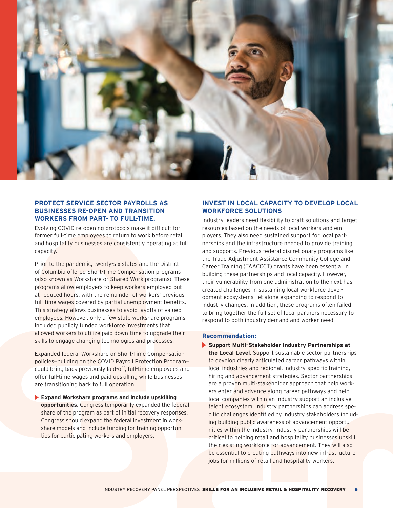

# **PROTECT SERVICE SECTOR PAYROLLS AS BUSINESSES RE-OPEN AND TRANSITION WORKERS FROM PART- TO FULL-TIME.**

Evolving COVID re-opening protocols make it difficult for former full-time employees to return to work before retail and hospitality businesses are consistently operating at full capacity.

Prior to the pandemic, twenty-six states and the District of Columbia offered Short-Time Compensation programs (also known as Workshare or Shared Work programs). These programs allow employers to keep workers employed but at reduced hours, with the remainder of workers' previous full-time wages covered by partial unemployment benefits. This strategy allows businesses to avoid layoffs of valued employees. However, only a few state workshare programs included publicly funded workforce investments that allowed workers to utilize paid down-time to upgrade their skills to engage changing technologies and processes.

Expanded federal Workshare or Short-Time Compensation policies—building on the COVID Payroll Protection Program could bring back previously laid-off, full-time employees and offer full-time wages and paid upskilling while businesses are transitioning back to full operation.

**Expand Workshare programs and include upskilling opportunities.** Congress temporarily expanded the federal share of the program as part of initial recovery responses. Congress should expand the federal investment in workshare models and include funding for training opportunities for participating workers and employers.

# **INVEST IN LOCAL CAPACITY TO DEVELOP LOCAL WORKFORCE SOLUTIONS**

Industry leaders need flexibility to craft solutions and target resources based on the needs of local workers and employers. They also need sustained support for local partnerships and the infrastructure needed to provide training and supports. Previous federal discretionary programs like the Trade Adjustment Assistance Community College and Career Training (TAACCCT) grants have been essential in building these partnerships and local capacity. However, their vulnerability from one administration to the next has created challenges in sustaining local workforce development ecosystems, let alone expanding to respond to industry changes. In addition, these programs often failed to bring together the full set of local partners necessary to respond to both industry demand and worker need.

#### **Recommendation:**

**Support Multi-Stakeholder Industry Partnerships at the Local Level.** Support sustainable sector partnerships to develop clearly articulated career pathways within local industries and regional, industry-specific training, hiring and advancement strategies. Sector partnerships are a proven multi-stakeholder approach that help workers enter and advance along career pathways and help local companies within an industry support an inclusive talent ecosystem. Industry partnerships can address specific challenges identified by industry stakeholders including building public awareness of advancement opportunities within the industry. Industry partnerships will be critical to helping retail and hospitality businesses upskill their existing workforce for advancement. They will also be essential to creating pathways into new infrastructure jobs for millions of retail and hospitality workers.